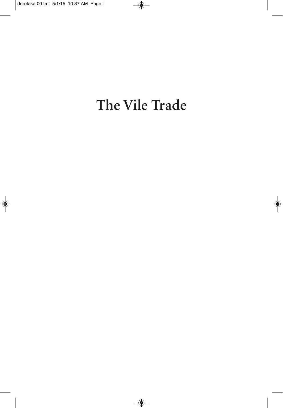# The Vile Trade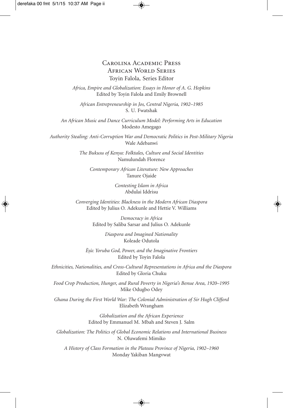Carolina Academic Press African World Series Toyin Falola, Series Editor

*Africa, Empire and Globalization: Essays in Honor of A. G. Hopkins* Edited by Toyin Falola and Emily Brownell

*African Entrepreneurship in Jos, Central Nigeria, 1902–1985* S. U. Fwatshak

*An African Music and Dance Curriculum Model: Performing Arts in Education* Modesto Amegago

*Authority Stealing: Anti-Corruption War and Democratic Politics in Post-Military Nigeria* Wale Adebanwi

> *The Bukusu of Kenya: Folktales, Culture and Social Identities* Namulundah Florence

*Contemporary African Literature: New Approaches* Tanure Ojaide

> *Contesting Islam in Africa* Abdulai Iddrisu

*Converging Identities: Blackness in the Modern African Diaspora* Edited by Julius O. Adekunle and Hettie V. Williams

> *Democracy in Africa* Edited by Saliba Sarsar and Julius O. Adekunle

> > *Diaspora and Imagined Nationality* Koleade Odutola

*Ès.ù: Yoruba God, Power, and the Imaginative Frontiers* Edited by Toyin Falola

*Ethnicities, Nationalities, and Cross-Cultural Representations in Africa and the Diaspora* Edited by Gloria Chuku

*Food Crop Production, Hunger, and Rural Poverty in Nigeria's Benue Area, 1920–1995* Mike Odugbo Odey

*Ghana During the First World War: The Colonial Administration of Sir Hugh Clifford* Elizabeth Wrangham

> *Globalization and the African Experience* Edited by Emmanuel M. Mbah and Steven J. Salm

*Globalization: The Politics of Global Economic Relations and International Business* N. Oluwafemi Mimiko

*A History of Class Formation in the Plateau Province of Nigeria, 1902–1960* Monday Yakiban Mangvwat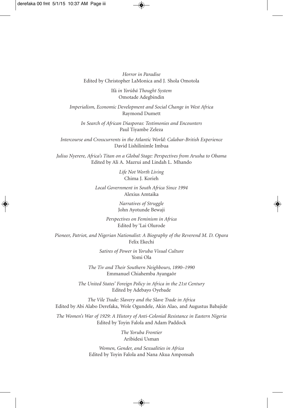*Horror in Paradise* Edited by Christopher LaMonica and J. Shola Omotola

> Ifá *in Yorùbá Thought System* Omotade Adegbindin

*Imperialism, Economic Development and Social Change in West Africa* Raymond Dumett

*In Search of African Diasporas: Testimonies and Encounters* Paul Tiyambe Zeleza

*Intercourse and Crosscurrents in the Atlantic World: Calabar-British Experience* David Lishilinimle Imbua

*Julius Nyerere, Africa's Titan on a Global Stage: Perspectives from Arusha to Obama* Edited by Ali A. Mazrui and Lindah L. Mhando

> *Life Not Worth Living* Chima J. Korieh

*Local Government in South Africa Since 1994* Alexius Amtaika

> *Narratives of Struggle* John Ayotunde Bewaji

*Perspectives on Feminism in Africa* Edited by 'Lai Olurode

*Pioneer, Patriot, and Nigerian Nationalist: A Biography of the Reverend M. D. Opara* Felix Ekechi

> *Satires of Power in Yoruba Visual Culture* Yomi Ola

*The Tiv and Their Southern Neighbours, 1890–1990* Emmanuel Chiahemba Ayangaôr

*The United States' Foreign Policy in Africa in the 21st Century* Edited by Adebayo Oyebade

*The Vile Trade: Slavery and the Slave Trade in Africa* Edited by Abi Alabo Derefaka, Wole Ogundele, Akin Alao, and Augustus Babajide

*The Women's War of 1929: A History of Anti-Colonial Resistance in Eastern Nigeria* Edited by Toyin Falola and Adam Paddock

> *The Yoruba Frontier* Aribidesi Usman

*Women, Gender, and Sexualities in Africa* Edited by Toyin Falola and Nana Akua Amponsah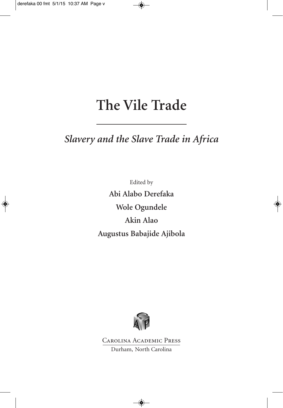# The Vile Trade

### Slavery and the Slave Trade in Africa

Edited by Abi Alabo Derefaka Wole Ogundele Akin Alao Augustus Babajide Ajibola



**CAROLINA ACADEMIC PRESS** Durham, North Carolina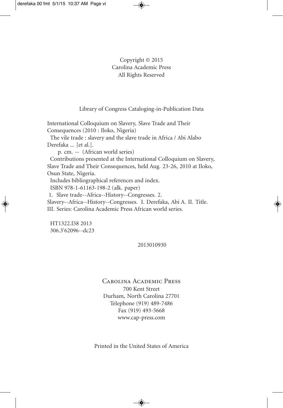### Copyright © 2015 Carolina Academic Press All Rights Reserved

Library of Congress Cataloging-in-Publication Data

International Colloquium on Slavery, Slave Trade and Their Consequences (2010 : Iloko, Nigeria) The vile trade : slavery and the slave trade in Africa / Abi Alabo Derefaka ... [et al.]. p. cm. -- (African world series) Contributions presented at the International Colloquium on Slavery, Slave Trade and Their Consequences, held Aug. 23-26, 2010 at Iloko, Osun State, Nigeria. Includes bibliographical references and index. ISBN 978-1-61163-198-2 (alk. paper) 1. Slave trade--Africa--History--Congresses. 2. Slavery--Africa--History--Congresses. I. Derefaka, Abi A. II. Title. III. Series: Carolina Academic Press African world series.

HT1322.I58 2013 306.3'62096--dc23

2013010930

Carolina Academic Press 700 Kent Street Durham, North Carolina 27701 Telephone (919) 489-7486 Fax (919) 493-5668 www.cap-press.com

Printed in the United States of America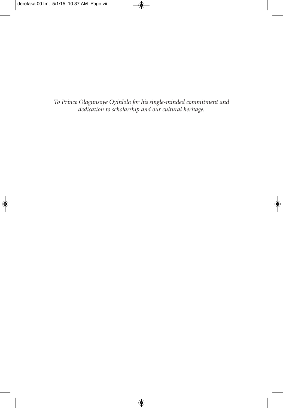To Prince Olagunsoye Oyinlola for his single-minded commitment and<br>dedication to scholarship and our cultural heritage.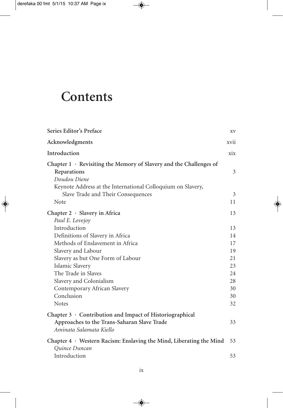## **Contents**

| Series Editor's Preface                                                                                                                                                                                      | XV     |
|--------------------------------------------------------------------------------------------------------------------------------------------------------------------------------------------------------------|--------|
| Acknowledgments                                                                                                                                                                                              | xvii   |
| Introduction                                                                                                                                                                                                 | xix    |
| Chapter $1 \cdot$ Revisiting the Memory of Slavery and the Challenges of<br>Reparations<br>Doudou Diene<br>Keynote Address at the International Colloquium on Slavery,<br>Slave Trade and Their Consequences | 3<br>3 |
| Note                                                                                                                                                                                                         | 11     |
| Chapter $2 \cdot$ Slavery in Africa<br>Paul E. Lovejoy                                                                                                                                                       | 13     |
| Introduction                                                                                                                                                                                                 | 13     |
| Definitions of Slavery in Africa                                                                                                                                                                             | 14     |
| Methods of Enslavement in Africa                                                                                                                                                                             | 17     |
| Slavery and Labour                                                                                                                                                                                           | 19     |
| Slavery as but One Form of Labour                                                                                                                                                                            | 21     |
| Islamic Slavery                                                                                                                                                                                              | 23     |
| The Trade in Slaves                                                                                                                                                                                          | 24     |
| Slavery and Colonialism                                                                                                                                                                                      | 28     |
| Contemporary African Slavery                                                                                                                                                                                 | 30     |
| Conclusion                                                                                                                                                                                                   | 30     |
| <b>Notes</b>                                                                                                                                                                                                 | 32     |
| Chapter $3 \cdot$ Contribution and Impact of Historiographical<br>Approaches to the Trans-Saharan Slave Trade<br>Aminata Salamata Kiello                                                                     | 33     |
| Chapter $4 \cdot$ Western Racism: Enslaving the Mind, Liberating the Mind<br>Quince Duncan                                                                                                                   | 53     |
| Introduction                                                                                                                                                                                                 | 53     |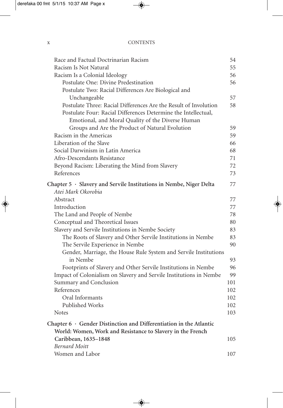| Race and Factual Doctrinarian Racism                                                                                                                                                    | 54  |
|-----------------------------------------------------------------------------------------------------------------------------------------------------------------------------------------|-----|
| Racism Is Not Natural                                                                                                                                                                   | 55  |
| Racism Is a Colonial Ideology                                                                                                                                                           | 56  |
| Postulate One: Divine Predestination                                                                                                                                                    | 56  |
| Postulate Two: Racial Differences Are Biological and                                                                                                                                    |     |
| Unchangeable                                                                                                                                                                            | 57  |
| Postulate Three: Racial Differences Are the Result of Involution<br>Postulate Four: Racial Differences Determine the Intellectual,<br>Emotional, and Moral Quality of the Diverse Human | 58  |
| Groups and Are the Product of Natural Evolution                                                                                                                                         | 59  |
| Racism in the Americas                                                                                                                                                                  | 59  |
| Liberation of the Slave                                                                                                                                                                 | 66  |
| Social Darwinism in Latin America                                                                                                                                                       | 68  |
| Afro-Descendants Resistance                                                                                                                                                             | 71  |
| Beyond Racism: Liberating the Mind from Slavery                                                                                                                                         | 72  |
| References                                                                                                                                                                              | 73  |
| Chapter 5 · Slavery and Servile Institutions in Nembe, Niger Delta<br>Atei Mark Okorobia                                                                                                | 77  |
| Abstract                                                                                                                                                                                | 77  |
| Introduction                                                                                                                                                                            | 77  |
| The Land and People of Nembe                                                                                                                                                            | 78  |
| Conceptual and Theoretical Issues                                                                                                                                                       | 80  |
| Slavery and Servile Institutions in Nembe Society                                                                                                                                       | 83  |
| The Roots of Slavery and Other Servile Institutions in Nembe                                                                                                                            | 83  |
| The Servile Experience in Nembe                                                                                                                                                         | 90  |
| Gender, Marriage, the House Rule System and Servile Institutions                                                                                                                        |     |
| in Nembe                                                                                                                                                                                | 93  |
| Footprints of Slavery and Other Servile Institutions in Nembe                                                                                                                           | 96  |
| Impact of Colonialism on Slavery and Servile Institutions in Nembe                                                                                                                      | 99  |
| Summary and Conclusion                                                                                                                                                                  | 101 |
| References                                                                                                                                                                              | 102 |
| Oral Informants                                                                                                                                                                         | 102 |
| Published Works                                                                                                                                                                         | 102 |
| <b>Notes</b>                                                                                                                                                                            | 103 |
| Chapter $6 \cdot$ Gender Distinction and Differentiation in the Atlantic<br>World: Women, Work and Resistance to Slavery in the French                                                  |     |
| Caribbean, 1635-1848                                                                                                                                                                    | 105 |
| <b>Bernard Moitt</b>                                                                                                                                                                    |     |
| Women and Labor                                                                                                                                                                         | 107 |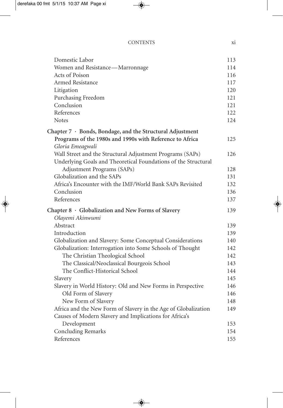| Domestic Labor                                                  | 113 |
|-----------------------------------------------------------------|-----|
| Women and Resistance-Marronnage                                 | 114 |
| Acts of Poison                                                  | 116 |
| Armed Resistance                                                | 117 |
| Litigation                                                      | 120 |
| Purchasing Freedom                                              | 121 |
| Conclusion                                                      | 121 |
| References                                                      | 122 |
| <b>Notes</b>                                                    | 124 |
| Chapter $7 \cdot$ Bonds, Bondage, and the Structural Adjustment |     |
| Programs of the 1980s and 1990s with Reference to Africa        | 125 |
| Gloria Emeagwali                                                |     |
| Wall Street and the Structural Adjustment Programs (SAPs)       | 126 |
| Underlying Goals and Theoretical Foundations of the Structural  |     |
| Adjustment Programs (SAPs)                                      | 128 |
| Globalization and the SAPs                                      | 131 |
| Africa's Encounter with the IMF/World Bank SAPs Revisited       | 132 |
| Conclusion                                                      | 136 |
| References                                                      | 137 |
| Chapter 8 · Globalization and New Forms of Slavery              | 139 |
| Olayemi Akinwumi                                                |     |
| Abstract                                                        | 139 |
| Introduction                                                    | 139 |
| Globalization and Slavery: Some Conceptual Considerations       | 140 |
| Globalization: Interrogation into Some Schools of Thought       | 142 |
| The Christian Theological School                                | 142 |
| The Classical/Neoclassical Bourgeois School                     | 143 |
| The Conflict-Historical School                                  | 144 |
| Slavery                                                         | 145 |
| Slavery in World History: Old and New Forms in Perspective      | 146 |
| Old Form of Slavery                                             | 146 |
| New Form of Slavery                                             | 148 |
| Africa and the New Form of Slavery in the Age of Globalization  | 149 |
| Causes of Modern Slavery and Implications for Africa's          |     |
| Development                                                     | 153 |
| <b>Concluding Remarks</b>                                       | 154 |
| References                                                      | 155 |
|                                                                 |     |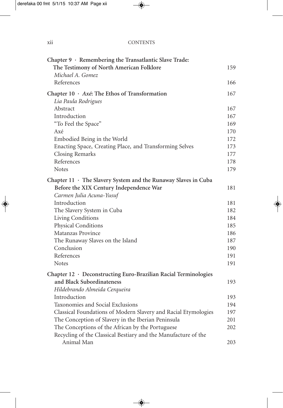### xii CONTENTS

| Chapter 9 · Remembering the Transatlantic Slave Trade:          |     |
|-----------------------------------------------------------------|-----|
| The Testimony of North American Folklore                        | 159 |
| Michael A. Gomez                                                |     |
| References                                                      | 166 |
| Chapter $10 \cdot Ax$ é: The Ethos of Transformation            | 167 |
| Lia Paula Rodrigues                                             |     |
| Abstract                                                        | 167 |
| Introduction                                                    | 167 |
| "To Feel the Space"                                             | 169 |
| Axé                                                             | 170 |
| Embodied Being in the World                                     | 172 |
| Enacting Space, Creating Place, and Transforming Selves         | 173 |
| Closing Remarks                                                 | 177 |
| References                                                      | 178 |
| <b>Notes</b>                                                    | 179 |
| Chapter 11 · The Slavery System and the Runaway Slaves in Cuba  |     |
| Before the XIX Century Independence War                         | 181 |
| Carmen Julia Acuna-Yusuf                                        |     |
| Introduction                                                    | 181 |
| The Slavery System in Cuba                                      | 182 |
| Living Conditions                                               | 184 |
| Physical Conditions                                             | 185 |
| Matanzas Province                                               | 186 |
| The Runaway Slaves on the Island                                | 187 |
| Conclusion                                                      | 190 |
| References                                                      | 191 |
| <b>Notes</b>                                                    | 191 |
| Chapter 12 · Deconstructing Euro-Brazilian Racial Terminologies |     |
| and Black Subordinateness                                       | 193 |
| Hildebrando Almeida Cerqueira                                   |     |
| Introduction                                                    | 193 |
| Taxonomies and Social Exclusions                                | 194 |
| Classical Foundations of Modern Slavery and Racial Etymologies  | 197 |
| The Conception of Slavery in the Iberian Peninsula              | 201 |
| The Conceptions of the African by the Portuguese                | 202 |
| Recycling of the Classical Bestiary and the Manufacture of the  |     |
| Animal Man                                                      | 203 |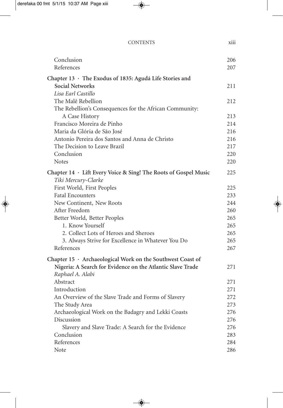| <b>CONTENTS</b> | .<br><b>X111</b> |
|-----------------|------------------|
|                 |                  |

| Conclusion<br>References                                                       | 206<br>207 |
|--------------------------------------------------------------------------------|------------|
| Chapter 13 · The Exodus of 1835: Agudá Life Stories and                        |            |
| Social Networks                                                                | 211        |
| Lisa Earl Castillo                                                             |            |
| The Malê Rebellion                                                             | 212        |
| The Rebellion's Consequences for the African Community:                        |            |
| A Case History                                                                 | 213        |
| Francisco Moreira de Pinho                                                     | 214        |
| Maria da Glória de São José                                                    | 216        |
| Antonio Pereira dos Santos and Anna de Christo                                 | 216        |
| The Decision to Leave Brazil                                                   | 217        |
| Conclusion                                                                     | 220        |
| <b>Notes</b>                                                                   | 220        |
| Chapter 14 · Lift Every Voice & Sing! The Roots of Gospel Music                | 225        |
| Tiki Mercury-Clarke                                                            |            |
| First World, First Peoples                                                     | 225        |
| <b>Fatal Encounters</b>                                                        | 233        |
| New Continent, New Roots                                                       | 244        |
| After Freedom                                                                  | 260        |
| Better World, Better Peoples                                                   | 265        |
| 1. Know Yourself                                                               | 265        |
| 2. Collect Lots of Heroes and Sheroes                                          | 265        |
| 3. Always Strive for Excellence in Whatever You Do                             | 265        |
| References                                                                     | 267        |
| Chapter 15 · Archaeological Work on the Southwest Coast of                     |            |
| Nigeria: A Search for Evidence on the Atlantic Slave Trade<br>Raphael A. Alabi | 271        |
| Abstract                                                                       | 271        |
| Introduction                                                                   | 271        |
| An Overview of the Slave Trade and Forms of Slavery                            | 272        |
| The Study Area                                                                 | 273        |
| Archaeological Work on the Badagry and Lekki Coasts                            | 276        |
| Discussion                                                                     | 276        |
| Slavery and Slave Trade: A Search for the Evidence                             | 276        |
| Conclusion                                                                     | 283        |
| References                                                                     | 284        |
| Note                                                                           | 286        |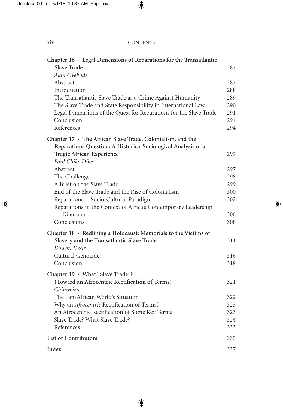### xiv CONTENTS

| Chapter $16 \cdot$ Legal Dimensions of Reparations for the Transatlantic |     |
|--------------------------------------------------------------------------|-----|
| <b>Slave Trade</b>                                                       | 287 |
| Akin Oyebode                                                             |     |
| Abstract                                                                 | 287 |
| Introduction                                                             | 288 |
| The Transatlantic Slave Trade as a Crime Against Humanity                | 289 |
| The Slave Trade and State Responsibility in International Law            | 290 |
| Legal Dimensions of the Quest for Reparations for the Slave Trade        | 291 |
| Conclusion                                                               | 294 |
| References                                                               | 294 |
| Chapter 17 · The African Slave Trade, Colonialism, and the               |     |
| Reparations Question: A Historico-Sociological Analysis of a             |     |
| Tragic African Experience                                                | 297 |
| Paul Chike Dike                                                          |     |
| Abstract                                                                 | 297 |
| The Challenge                                                            | 298 |
| A Brief on the Slave Trade                                               | 299 |
| End of the Slave Trade and the Rise of Colonialism                       | 300 |
| Reparations-Socio-Cultural Paradigm                                      | 302 |
| Reparations in the Context of Africa's Contemporary Leadership           |     |
| Dilemma                                                                  | 306 |
| Conclusions                                                              | 308 |
| Chapter $18 \cdot$ Redlining a Holocaust: Memorials to the Victims of    |     |
| Slavery and the Transatlantic Slave Trade                                | 311 |
| Dowoti Desir                                                             |     |
| Cultural Genocide                                                        | 316 |
| Conclusion                                                               | 318 |
| Chapter 19 · What "Slave Trade"?                                         |     |
| (Toward an Afrocentric Rectification of Terms)                           | 321 |
| Chinweizu                                                                |     |
| The Pan-African World's Situation                                        | 322 |
| Why an Afrocentric Rectification of Terms?                               | 323 |
| An Afrocentric Rectification of Some Key Terms                           | 323 |
| Slave Trade? What Slave Trade?                                           | 324 |
| References                                                               | 333 |
| <b>List of Contributors</b>                                              | 335 |
| Index                                                                    | 337 |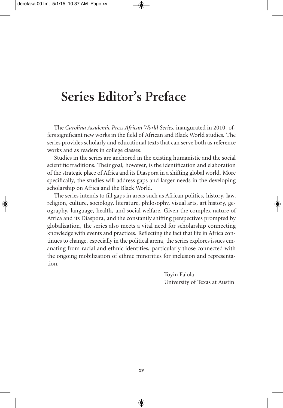## **Series Editor's Preface**

The *Carolina Academic Press African World Series,* inaugurated in 2010, offers significant new works in the field of African and Black World studies. The series provides scholarly and educational texts that can serve both as reference works and as readers in college classes.

Studies in the series are anchored in the existing humanistic and the social scientific traditions. Their goal, however, is the identification and elaboration of the strategic place of Africa and its Diaspora in a shifting global world. More specifically, the studies will address gaps and larger needs in the developing scholarship on Africa and the Black World.

The series intends to fill gaps in areas such as African politics, history, law, religion, culture, sociology, literature, philosophy, visual arts, art history, geography, language, health, and social welfare. Given the complex nature of Africa and its Diaspora, and the constantly shifting perspectives prompted by globalization, the series also meets a vital need for scholarship connecting knowledge with events and practices. Reflecting the fact that life in Africa continues to change, especially in the political arena, the series explores issues emanating from racial and ethnic identities, particularly those connected with the ongoing mobilization of ethnic minorities for inclusion and representation.

> Toyin Falola University of Texas at Austin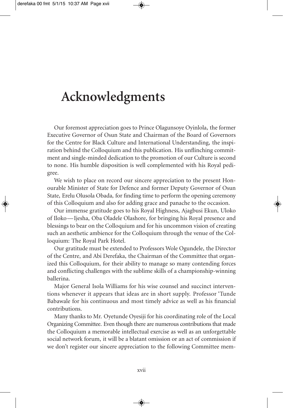# **Acknowledgments**

Our foremost appreciation goes to Prince Olagunsoye Oyinlola, the former Executive Governor of Osun State and Chairman of the Board of Governors for the Centre for Black Culture and International Understanding, the inspiration behind the Colloquium and this publication. His unflinching commitment and single-minded dedication to the promotion of our Culture is second to none. His humble disposition is well complemented with his Royal pedigree.

We wish to place on record our sincere appreciation to the present Honourable Minister of State for Defence and former Deputy Governor of Osun State, Erelu Olusola Obada, for finding time to perform the opening ceremony of this Colloquium and also for adding grace and panache to the occasion.

Our immense gratitude goes to his Royal Highness, Ajagbusi Ekun, Uloko of Iloko—Ijesha, Oba Oladele Olashore, for bringing his Royal presence and blessings to bear on the Colloquium and for his uncommon vision of creating such an aesthetic ambience for the Colloquium through the venue of the Colloquium: The Royal Park Hotel.

Our gratitude must be extended to Professors Wole Ogundele, the Director of the Centre, and Abi Derefaka, the Chairman of the Committee that organized this Colloquium, for their ability to manage so many contending forces and conflicting challenges with the sublime skills of a championship-winning ballerina.

Major General Isola Williams for his wise counsel and succinct interventions whenever it appears that ideas are in short supply. Professor 'Tunde Babawale for his continuous and most timely advice as well as his financial contributions.

Many thanks to Mr. Oyetunde Oyesiji for his coordinating role of the Local Organizing Committee. Even though there are numerous contributions that made the Colloquium a memorable intellectual exercise as well as an unforgettable social network forum, it will be a blatant omission or an act of commission if we don't register our sincere appreciation to the following Committee mem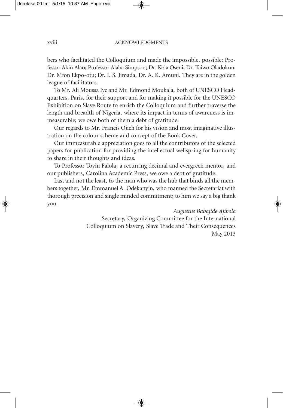bers who facilitated the Colloquium and made the impossible, possible: Professor Akin Alao; Professor Alaba Simpson; Dr. Kola Oseni; Dr. Taiwo Oladokun; Dr. Mfon Ekpo-otu; Dr. I. S. Jimada, Dr. A. K. Amuni. They are in the golden league of facilitators.

To Mr. Ali Moussa Iye and Mr. Edmond Moukala, both of UNESCO Headquarters, Paris, for their support and for making it possible for the UNESCO Exhibition on Slave Route to enrich the Colloquium and further traverse the length and breadth of Nigeria, where its impact in terms of awareness is immeasurable; we owe both of them a debt of gratitude.

Our regards to Mr. Francis Ojieh for his vision and most imaginative illustration on the colour scheme and concept of the Book Cover.

Our immeasurable appreciation goes to all the contributors of the selected papers for publication for providing the intellectual wellspring for humanity to share in their thoughts and ideas.

To Professor Toyin Falola, a recurring decimal and evergreen mentor, and our publishers, Carolina Academic Press, we owe a debt of gratitude.

Last and not the least, to the man who was the hub that binds all the members together, Mr. Emmanuel A. Odekanyin, who manned the Secretariat with thorough precision and single minded commitment; to him we say a big thank you.

> *Augustus Babajide Ajibola* Secretary, Organizing Committee for the International Colloquium on Slavery, Slave Trade and Their Consequences May 2013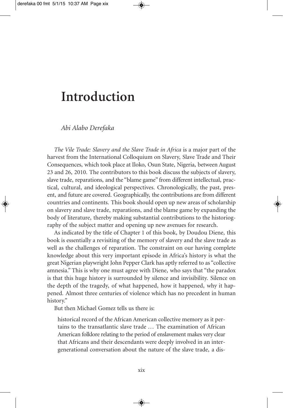### **Introduction**

*Abi Alabo Derefaka*

*The Vile Trade: Slavery and the Slave Trade in Africa* is a major part of the harvest from the International Colloquium on Slavery, Slave Trade and Their Consequences, which took place at Iloko, Osun State, Nigeria, between August 23 and 26, 2010. The contributors to this book discuss the subjects of slavery, slave trade, reparations, and the "blame game" from different intellectual, practical, cultural, and ideological perspectives. Chronologically, the past, present, and future are covered. Geographically, the contributions are from different countries and continents. This book should open up new areas of scholarship on slavery and slave trade, reparations, and the blame game by expanding the body of literature, thereby making substantial contributions to the historiography of the subject matter and opening up new avenues for research.

As indicated by the title of Chapter 1 of this book, by Doudou Diene, this book is essentially a revisiting of the memory of slavery and the slave trade as well as the challenges of reparation. The constraint on our having complete knowledge about this very important episode in Africa's history is what the great Nigerian playwright John Pepper Clark has aptly referred to as "collective amnesia." This is why one must agree with Diene, who says that "the paradox is that this huge history is surrounded by silence and invisibility. Silence on the depth of the tragedy, of what happened, how it happened, why it happened. Almost three centuries of violence which has no precedent in human history."

But then Michael Gomez tells us there is:

historical record of the African American collective memory as it pertains to the transatlantic slave trade ... The examination of African American folklore relating to the period of enslavement makes very clear that Africans and their descendants were deeply involved in an intergenerational conversation about the nature of the slave trade, a dis-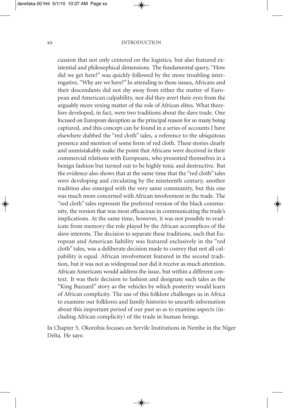#### xx INTRODUCTION

cussion that not only centered on the logistics, but also featured existential and philosophical dimensions. The fundamental query, "How did we get here?" was quickly followed by the more troubling interrogative, "Why are we here?" In attending to these issues, Africans and their descendants did not shy away from either the matter of European and American culpability, nor did they avert their eyes from the arguably more vexing matter of the role of African elites. What therefore developed, in fact, were two traditions about the slave trade. One focused on European deception as the principal reason for so many being captured, and this concept can be found in a series of accounts I have elsewhere dubbed the "red cloth" tales, a reference to the ubiquitous presence and mention of some form of red cloth. These stories clearly and unmistakably make the point that Africans were deceived in their commercial relations with Europeans, who presented themselves in a benign fashion but turned out to be highly toxic and destructive. But the evidence also shows that at the same time that the "red cloth" tales were developing and circulating by the nineteenth century, another tradition also emerged with the very same community, but this one was much more concerned with African involvement in the trade. The "red cloth" tales represent the preferred version of the black community, the version that was most efficacious in communicating the trade's implications. At the same time, however, it was not possible to eradicate from memory the role played by the African accomplices of the slave interests. The decision to separate these traditions, such that European and American liability was featured exclusively in the "red cloth" tales, was a deliberate decision made to convey that not all culpability is equal. African involvement featured in the second tradition, but it was not as widespread nor did it receive as much attention. African Americans would address the issue, but within a different context. It was their decision to fashion and designate such tales as the "King Buzzard" story as the vehicles by which posterity would learn of African complicity. The use of this folklore challenges us in Africa to examine our folklores and family histories to unearth information about this important period of our past so as to examine aspects (including African complicity) of the trade in human beings.

In Chapter 5, Okorobia focuses on Servile Institutions in Nembe in the Niger Delta. He says: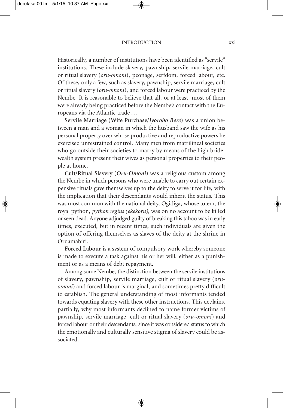#### INTRODUCTION xxi

Historically, a number of institutions have been identified as "servile" institutions. These include slavery, pawnship, servile marriage, cult or ritual slavery (*oru*-*omoni*), peonage, serfdom, forced labour, etc. Of these, only a few, such as slavery, pawnship, servile marriage, cult or ritual slavery (*oru*-*omoni*), and forced labour were practiced by the Nembe. It is reasonable to believe that all, or at least, most of them were already being practiced before the Nembe's contact with the Europeans via the Atlantic trade ...

**Servile Marriage (Wife Purchase/***Iyorobo Bere***)** was a union between a man and a woman in which the husband saw the wife as his personal property over whose productive and reproductive powers he exercised unrestrained control. Many men from matrilineal societies who go outside their societies to marry by means of the high bridewealth system present their wives as personal properties to their people at home.

**Cult/Ritual Slavery (***Oru***-***Omoni***)** was a religious custom among the Nembe in which persons who were unable to carry out certain expensive rituals gave themselves up to the deity to serve it for life, with the implication that their descendants would inherit the status. This was most common with the national deity, Ogidiga, whose totem, the royal python, *python regius (ekekoru),* was on no account to be killed or seen dead. Anyone adjudged guilty of breaking this taboo was in early times, executed, but in recent times, such individuals are given the option of offering themselves as slaves of the deity at the shrine in Oruamabiri.

**Forced Labour** is a system of compulsory work whereby someone is made to execute a task against his or her will, either as a punishment or as a means of debt repayment.

Among some Nembe, the distinction between the servile institutions of slavery, pawnship, servile marriage, cult or ritual slavery (*oruomoni*) and forced labour is marginal, and sometimes pretty difficult to establish. The general understanding of most informants tended towards equating slavery with these other instructions. This explains, partially, why most informants declined to name former victims of pawnship, servile marriage, cult or ritual slavery (*oru*-*omoni*) and forced labour or their descendants, since it was considered status to which the emotionally and culturally sensitive stigma of slavery could be associated.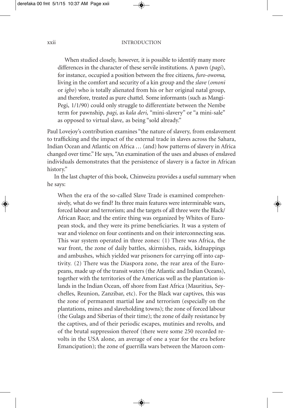#### xxii INTRODUCTION

When studied closely, however, it is possible to identify many more differences in the character of these servile institutions. A pawn (*pagi*), for instance, occupied a position between the free citizens, *furo-owoma,* living in the comfort and security of a kin group and the *slave* (*omoni* or *igbo*) who is totally alienated from his or her original natal group, and therefore, treated as pure chattel. Some informants (such as Mangi-Pegi, 1/1/90) could only struggle to differentiate between the Nembe term for pawnship, *pagi,* as *kala deri,* "mini-slavery" or "a mini-sale" as opposed to virtual slave, as being "sold already."

Paul Lovejoy's contribution examines "the nature of slavery, from enslavement to trafficking and the impact of the external trade in slaves across the Sahara, Indian Ocean and Atlantic on Africa ... (and) how patterns of slavery in Africa changed over time."He says, "An examination of the uses and abuses of enslaved individuals demonstrates that the persistence of slavery is a factor in African history."

In the last chapter of this book, Chinweizu provides a useful summary when he says:

When the era of the so-called Slave Trade is examined comprehensively, what do we find? Its three main features were interminable wars, forced labour and terrorism; and the targets of all three were the Black/ African Race; and the entire thing was organized by Whites of European stock, and they were its prime beneficiaries. It was a system of war and violence on four continents and on their interconnecting seas. This war system operated in three zones: (1) There was Africa, the war front, the zone of daily battles, skirmishes, raids, kidnappings and ambushes, which yielded war prisoners for carrying off into captivity. (2) There was the Diaspora zone, the rear area of the Europeans, made up of the transit waters (the Atlantic and Indian Oceans), together with the territories of the Americas well as the plantation islands in the Indian Ocean, off shore from East Africa (Mauritius, Seychelles, Reunion, Zanzibar, etc). For the Black war captives, this was the zone of permanent martial law and terrorism (especially on the plantations, mines and slaveholding towns); the zone of forced labour (the Gulags and Siberias of their time); the zone of daily resistance by the captives, and of their periodic escapes, mutinies and revolts, and of the brutal suppression thereof (there were some 250 recorded revolts in the USA alone, an average of one a year for the era before Emancipation); the zone of guerrilla wars between the Maroon com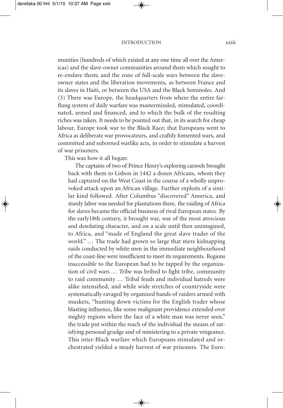munities (hundreds of which existed at any one time all over the Americas) and the slave-owner communities around them which sought to re-enslave them; and the zone of full-scale wars between the slaveowner states and the liberation movements, as between France and its slaves in Haiti, or between the USA and the Black Seminoles. And (3) There was Europe, the headquarters from where the entire farflung system of daily warfare was masterminded, stimulated, coordinated, armed and financed, and to which the bulk of the resulting riches was taken. It needs to be pointed out that, in its search for cheap labour, Europe took war to the Black Race; that Europeans went to Africa as deliberate war provocateurs, and craftily fomented wars, and committed and suborned warlike acts, in order to stimulate a harvest of war prisoners.

This was how it all began:

The captains of two of Prince Henry's exploring caravels brought back with them to Lisbon in 1442 a dozen Africans, whom they had captured on the West Coast in the course of a wholly unprovoked attack upon an African village. Further exploits of a similar kind followed. After Columbus "discovered" America, and sturdy labor was needed for plantations there, the raiding of Africa for slaves became the official business of rival European states. By the early18th century, it brought war, war of the most atrocious and desolating character, and on a scale until then unimagined, to Africa, and "made of England the great slave trader of the world." ... The trade had grown so large that mere kidnapping raids conducted by white men in the immediate neighbourhood of the coast-line were insufficient to meet its requirements. Regions inaccessible to the European had to be tapped by the organization of civil wars ... Tribe was bribed to fight tribe, community to raid community ... Tribal feuds and individual hatreds were alike intensified, and while wide stretches of countryside were systematically ravaged by organized bands of raiders armed with muskets, "hunting down victims for the English trader whose blasting influence, like some malignant providence extended over mighty regions where the face of a white man was never seen," the trade put within the reach of the individual the means of satisfying personal grudge and of ministering to a private vengeance. This inter-Black warfare which Europeans stimulated and orchestrated yielded a steady harvest of war prisoners. The Euro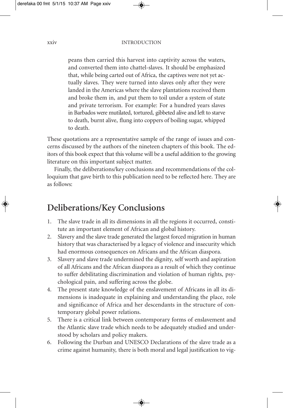peans then carried this harvest into captivity across the waters, and converted them into chattel-slaves. It should be emphasized that, while being carted out of Africa, the captives were not yet actually slaves. They were turned into slaves only after they were landed in the Americas where the slave plantations received them and broke them in, and put them to toil under a system of state and private terrorism. For example: For a hundred years slaves in Barbados were mutilated, tortured, gibbeted alive and left to starve to death, burnt alive, flung into coppers of boiling sugar, whipped to death.

These quotations are a representative sample of the range of issues and concerns discussed by the authors of the nineteen chapters of this book. The editors of this book expect that this volume will be a useful addition to the growing literature on this important subject matter.

Finally, the deliberations/key conclusions and recommendations of the colloquium that gave birth to this publication need to be reflected here. They are as follows:

### **Deliberations/Key Conclusions**

- 1. The slave trade in all its dimensions in all the regions it occurred, constitute an important element of African and global history.
- 2. Slavery and the slave trade generated the largest forced migration in human history that was characterised by a legacy of violence and insecurity which had enormous consequences on Africans and the African diaspora.
- 3. Slavery and slave trade undermined the dignity, self worth and aspiration of all Africans and the African diaspora as a result of which they continue to suffer debilitating discrimination and violation of human rights, psychological pain, and suffering across the globe.
- 4. The present state knowledge of the enslavement of Africans in all its dimensions is inadequate in explaining and understanding the place, role and significance of Africa and her descendants in the structure of contemporary global power relations.
- 5. There is a critical link between contemporary forms of enslavement and the Atlantic slave trade which needs to be adequately studied and understood by scholars and policy makers.
- 6. Following the Durban and UNESCO Declarations of the slave trade as a crime against humanity, there is both moral and legal justification to vig-